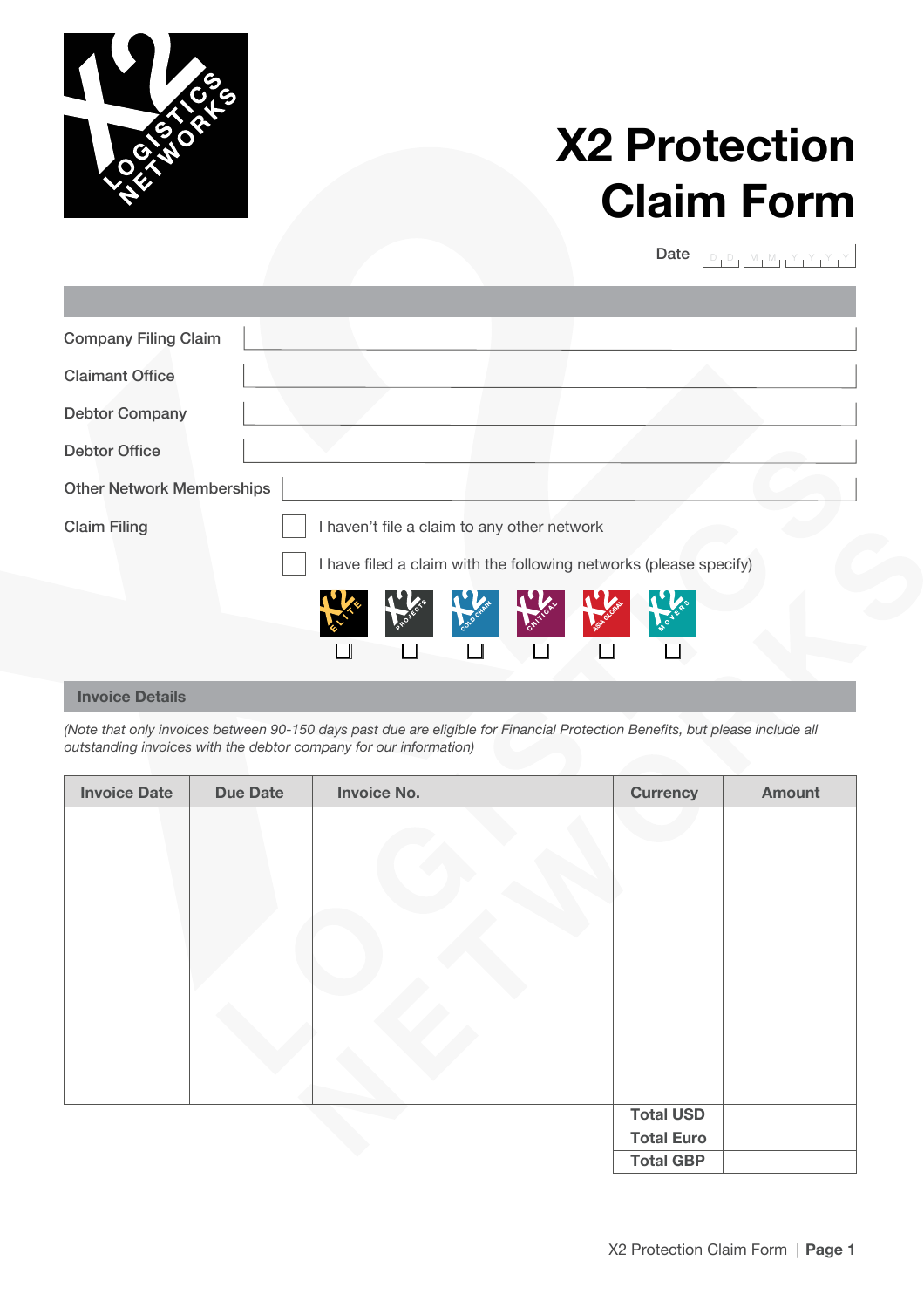

## **X2 Protection Claim Form**

Date  $\boxed{\begin{smallmatrix} D & D & M & M & Y & Y & Y & Y \end{smallmatrix}}$ 

| <b>Company Filing Claim</b>      |                                                                   |  |  |
|----------------------------------|-------------------------------------------------------------------|--|--|
| <b>Claimant Office</b>           |                                                                   |  |  |
| <b>Debtor Company</b>            |                                                                   |  |  |
| <b>Debtor Office</b>             |                                                                   |  |  |
| <b>Other Network Memberships</b> |                                                                   |  |  |
| <b>Claim Filing</b>              | I haven't file a claim to any other network                       |  |  |
|                                  | I have filed a claim with the following networks (please specify) |  |  |
|                                  |                                                                   |  |  |

## **Invoice Details**

*(Note that only invoices between 90-150 days past due are eligible for Financial Protection Benefits, but please include all outstanding invoices with the debtor company for our information)* 

| <b>Invoice Date</b> | <b>Due Date</b> | <b>Invoice No.</b> | <b>Currency</b>   | Amount |
|---------------------|-----------------|--------------------|-------------------|--------|
|                     |                 |                    |                   |        |
|                     |                 |                    | <b>Total USD</b>  |        |
|                     |                 |                    | <b>Total Euro</b> |        |
|                     |                 |                    | <b>Total GBP</b>  |        |